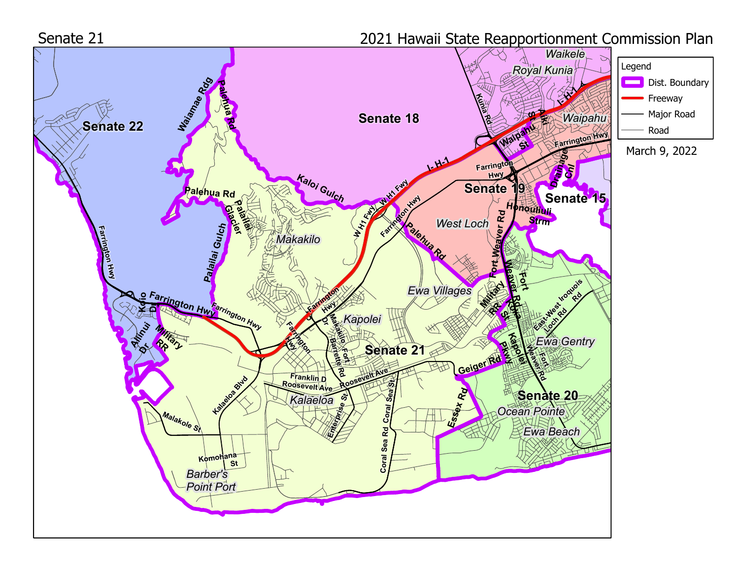